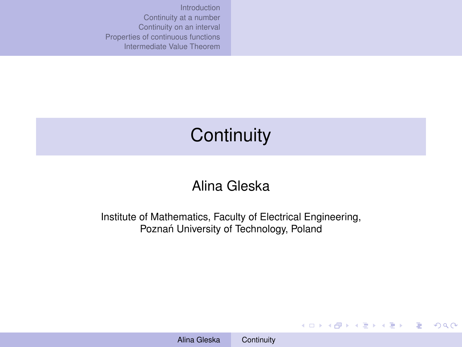# <span id="page-0-0"></span>**Continuity**

### Alina Gleska

Institute of Mathematics, Faculty of Electrical Engineering, Poznań University of Technology, Poland

**KO K K (F) K E K (E) K E K Y Q (A)**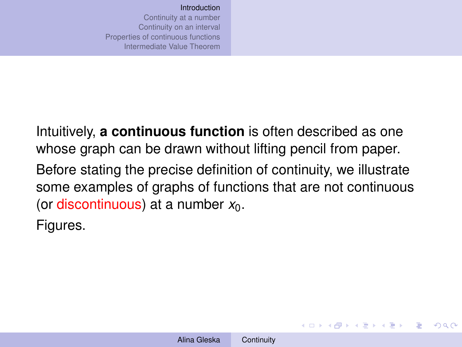<span id="page-1-0"></span>Intuitively, **a continuous function** is often described as one whose graph can be drawn without lifting pencil from paper. Before stating the precise definition of continuity, we illustrate some examples of graphs of functions that are not continuous (or discontinuous) at a number  $x_0$ .

Figures.

イロトメ 御 トメ 君 トメ 君 トー 君

 $QQ$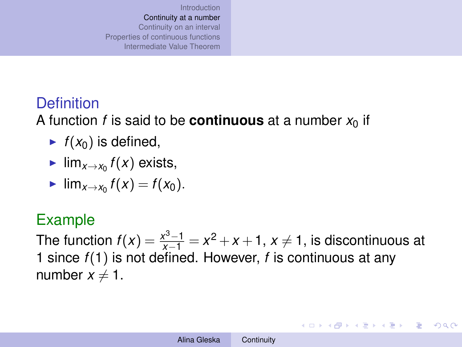# <span id="page-2-0"></span>**Definition**

A function *f* is said to be **continuous** at a number  $x_0$  if

- $\blacktriangleright$   $f(x_0)$  is defined,
- $\blacktriangleright$  lim<sub>*x*→*x*<sub>0</sub></sub>  $f(x)$  exists,

$$
\blacktriangleright \lim_{x\to x_0}f(x)=f(x_0).
$$

### Example

The function  $f(x) = \frac{x^3-1}{x-1} = x^2 + x + 1$ ,  $x \ne 1$ , is discontinuous at 1 since *f*(1) is not defined. However, *f* is continuous at any number  $x \neq 1$ .

イロト イ押 トイヨト イヨト 一重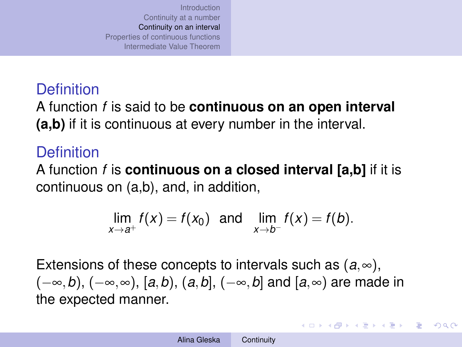### <span id="page-3-0"></span>**Definition**

A function *f* is said to be **continuous on an open interval (a,b)** if it is continuous at every number in the interval.

# **Definition**

A function *f* is **continuous on a closed interval [a,b]** if it is continuous on (a,b), and, in addition,

$$
\lim_{x\to a^+} f(x) = f(x_0) \text{ and } \lim_{x\to b^-} f(x) = f(b).
$$

Extensions of these concepts to intervals such as  $(a, \infty)$ , (−∞,*b*), (−∞,∞), [*a*,*b*), (*a*,*b*], (−∞,*b*] and [*a*,∞) are made in the expected manner.

**◆ロ→ ◆伊→ ◆ミ→ →ミ→ → ミ**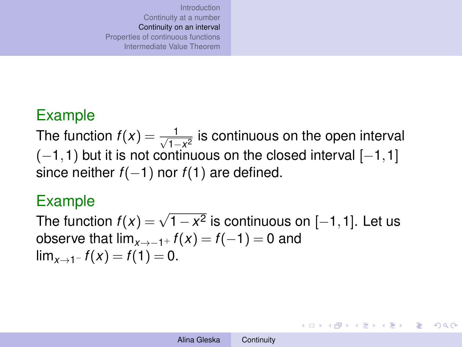### Example

The function  $f(x) = \frac{1}{\sqrt{1}}$ <u><sup>1</sup> a</del></u> is continuous on the open interval  $(-1,1)$  but it is not continuous on the closed interval  $[-1,1]$ since neither *f*(−1) nor *f*(1) are defined.

#### Example

 $\frac{1}{2}$   $\frac{1}{2}$   $\frac{1}{2}$   $\frac{1}{2}$   $\frac{1}{2}$   $\frac{1}{2}$   $\frac{1}{2}$   $\frac{1}{2}$   $\frac{1}{2}$   $\frac{1}{2}$   $\frac{1}{2}$   $\frac{1}{2}$   $\frac{1}{2}$   $\frac{1}{2}$   $\frac{1}{2}$   $\frac{1}{2}$   $\frac{1}{2}$   $\frac{1}{2}$   $\frac{1}{2}$   $\frac{1}{2}$   $\frac{1}{2}$   $\frac{1}{2}$  observe that  $\lim_{x\to -1^+} f(x) = f(-1) = 0$  and  $\lim_{x\to 1^-} f(x) = f(1) = 0.$ 

イロン イ押ン イヨン イヨン 一重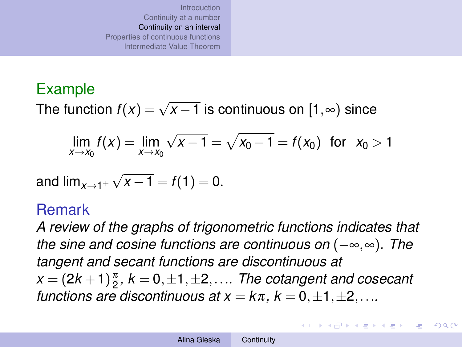### Example

The function  $f(x) = \sqrt{x-1}$  is continuous on  $[1, \infty)$  since

$$
\lim_{x \to x_0} f(x) = \lim_{x \to x_0} \sqrt{x - 1} = \sqrt{x_0 - 1} = f(x_0) \text{ for } x_0 > 1
$$

and 
$$
\lim_{x \to 1^+} \sqrt{x - 1} = f(1) = 0
$$
.

#### Remark

*A review of the graphs of trigonometric functions indicates that the sine and cosine functions are continuous on* (−∞,∞)*. The tangent and secant functions are discontinuous at*  $x = (2k+1)\frac{\pi}{2}$ ,  $k = 0, \pm 1, \pm 2, \ldots$  The cotangent and cosecant *functions are discontinuous at*  $x = k\pi$ *,*  $k = 0, \pm 1, \pm 2, \ldots$ *.* 

イロト イ押 トイヨ トイヨ トー

 $\Omega$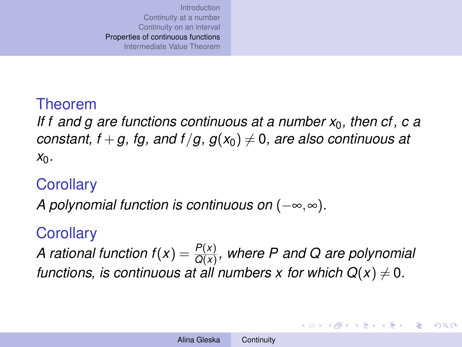### <span id="page-6-0"></span>Theorem

*If f and g are functions continuous at a number x*0*, then cf, c a constant, f* + *g, fg, and f* /*g, g*( $x_0$ )  $\neq$  0*, are also continuous at x*0*.*

### **Corollary**

*A polynomial function is continuous on* (−∞,∞)*.*

### **Corollary**

*A rational function f*( $x$ ) =  $\frac{P(x)}{Q(x)}$ , where P and Q are polynomial *functions, is continuous at all numbers x for which*  $Q(x) \neq 0$ *.* 

 $(1, 1)$   $(1, 1)$   $(1, 1)$   $(1, 1)$   $(1, 1)$   $(1, 1)$   $(1, 1)$   $(1, 1)$   $(1, 1)$ 

 $QQ$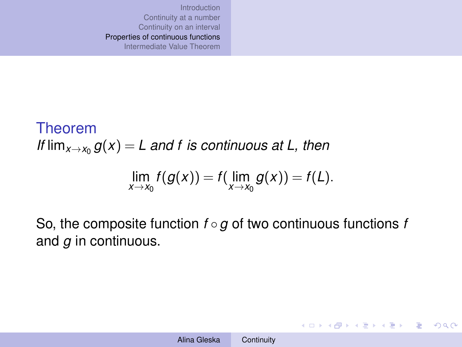Theorem *If*  $\lim_{x\to x_0} g(x) = L$  and f is continuous at L, then

$$
\lim_{x\to x_0}f(g(x))=f(\lim_{x\to x_0}g(x))=f(L).
$$

So, the composite function *f* ◦*g* of two continuous functions *f* and *g* in continuous.

イロン イ押ン イミン イヨン・ヨー

 $2990$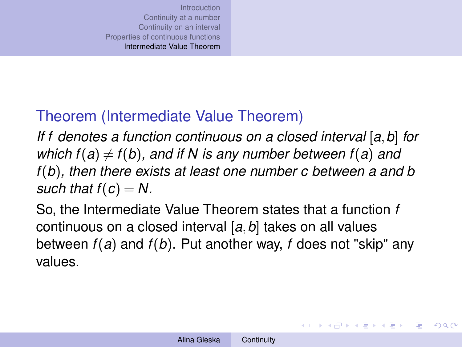# <span id="page-8-0"></span>Theorem (Intermediate Value Theorem)

*If f denotes a function continuous on a closed interval* [*a*,*b*] *for which f*(*a*)  $\neq$  *f*(*b*)*, and if N is any number between f*(*a*) *and f*(*b*)*, then there exists at least one number c between a and b such that*  $f(c) = N$ .

So, the Intermediate Value Theorem states that a function *f* continuous on a closed interval [*a*,*b*] takes on all values between *f*(*a*) and *f*(*b*). Put another way, *f* does not "skip" any values.

イロト イ押 トイヨ トイヨ トー

画

 $\Omega$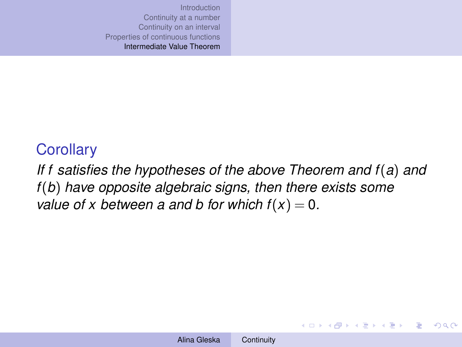## **Corollary**

*If f satisfies the hypotheses of the above Theorem and f*(*a*) *and f*(*b*) *have opposite algebraic signs, then there exists some value of x between a and b for which*  $f(x) = 0$ *.* 

メロトメ 御 メメ 君 メメ 君 メー 君

 $QQ$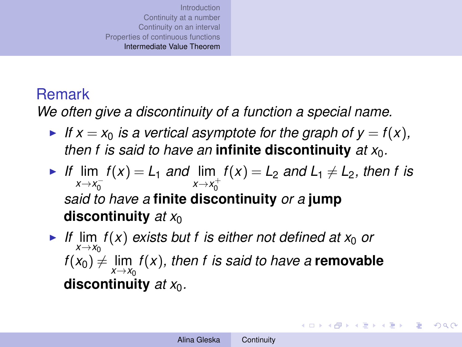### Remark

*We often give a discontinuity of a function a special name.*

- If  $x = x_0$  *is a vertical asymptote for the graph of*  $y = f(x)$ *, then f is said to have an* **infinite discontinuity**  $at x<sub>0</sub>$ *.*
- If  $\lim_{x \to a} f(x) = L_1$  *and*  $\lim_{x \to a} f(x) = L_2$  *and*  $L_1 \neq L_2$ *, then f is x*→*x*<sub>0</sub><sup>-</sup>  $x \rightarrow x_0^+$ *said to have a* **finite discontinuity** *or a* **jump discontinuity** at  $x_0$
- ► If  $\lim_{x \to x_0} f(x)$  *exists but f is either not defined at x*<sub>0</sub> *or*  $f(x_0) \neq \lim_{x \to x_0} f(x)$ , then f is said to have a **removable discontinuity** *at x*0*.*

**◆ロ→ ◆伊→ ◆ミ→ →ミ→ → ミ**